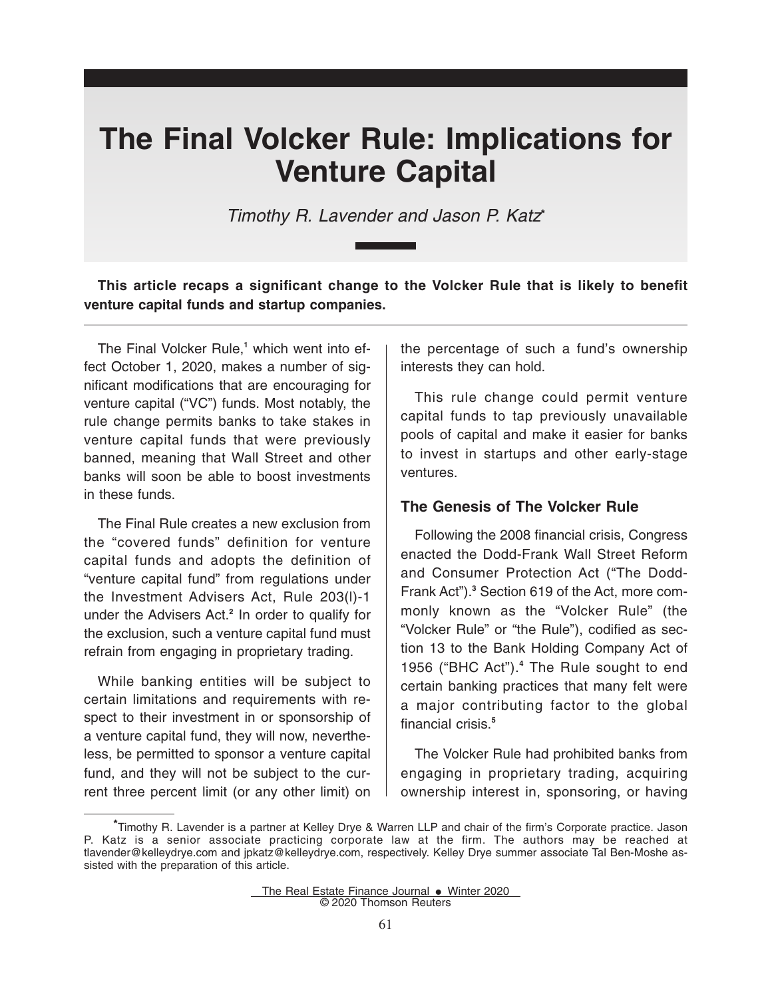# **The Final Volcker Rule: Implications for Venture Capital**

Timothy R. Lavender and Jason P. Katz**\***

**This article recaps a significant change to the Volcker Rule that is likely to benefit venture capital funds and startup companies.**

The Final Volcker Rule,**<sup>1</sup>** which went into effect October 1, 2020, makes a number of significant modifications that are encouraging for venture capital ("VC") funds. Most notably, the rule change permits banks to take stakes in venture capital funds that were previously banned, meaning that Wall Street and other banks will soon be able to boost investments in these funds.

The Final Rule creates a new exclusion from the "covered funds" definition for venture capital funds and adopts the definition of "venture capital fund" from regulations under the Investment Advisers Act, Rule 203(l)-1 under the Advisers Act.**<sup>2</sup>** In order to qualify for the exclusion, such a venture capital fund must refrain from engaging in proprietary trading.

While banking entities will be subject to certain limitations and requirements with respect to their investment in or sponsorship of a venture capital fund, they will now, nevertheless, be permitted to sponsor a venture capital fund, and they will not be subject to the current three percent limit (or any other limit) on

the percentage of such a fund's ownership interests they can hold.

This rule change could permit venture capital funds to tap previously unavailable pools of capital and make it easier for banks to invest in startups and other early-stage ventures.

# **The Genesis of The Volcker Rule**

Following the 2008 financial crisis, Congress enacted the Dodd-Frank Wall Street Reform and Consumer Protection Act ("The Dodd-Frank Act").**<sup>3</sup>** Section 619 of the Act, more commonly known as the "Volcker Rule" (the "Volcker Rule" or "the Rule"), codified as section 13 to the Bank Holding Company Act of 1956 ("BHC Act").**<sup>4</sup>** The Rule sought to end certain banking practices that many felt were a major contributing factor to the global financial crisis.**<sup>5</sup>**

The Volcker Rule had prohibited banks from engaging in proprietary trading, acquiring ownership interest in, sponsoring, or having

The Real Estate Finance Journal  $\bullet$  Winter 2020 © 2020 Thomson Reuters

**<sup>\*</sup>**Timothy R. Lavender is a partner at Kelley Drye & Warren LLP and chair of the firm's Corporate practice. Jason P. Katz is a senior associate practicing corporate law at the firm. The authors may be reached at tlavender@kelleydrye.com and jpkatz@kelleydrye.com, respectively. Kelley Drye summer associate Tal Ben-Moshe assisted with the preparation of this article.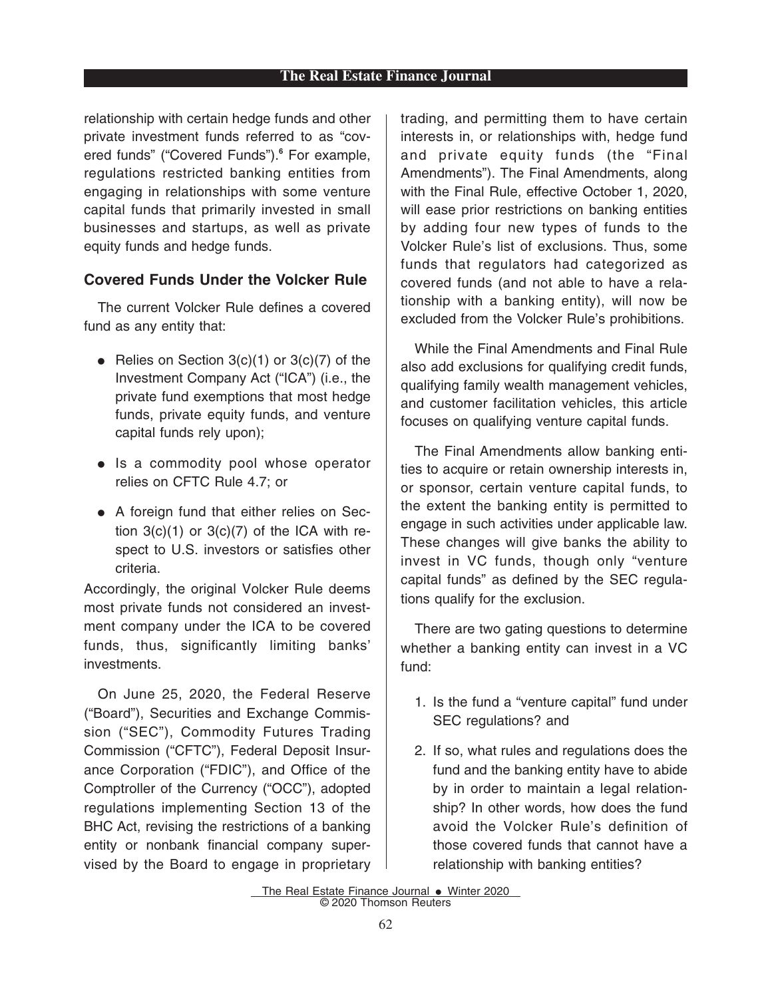relationship with certain hedge funds and other private investment funds referred to as "covered funds" ("Covered Funds").**<sup>6</sup>** For example, regulations restricted banking entities from engaging in relationships with some venture capital funds that primarily invested in small businesses and startups, as well as private equity funds and hedge funds.

# **Covered Funds Under the Volcker Rule**

The current Volcker Rule defines a covered fund as any entity that:

- $\bullet$  Relies on Section 3(c)(1) or 3(c)(7) of the Investment Company Act ("ICA") (i.e., the private fund exemptions that most hedge funds, private equity funds, and venture capital funds rely upon);
- Is a commodity pool whose operator relies on CFTC Rule 4.7; or
- A foreign fund that either relies on Section  $3(c)(1)$  or  $3(c)(7)$  of the ICA with respect to U.S. investors or satisfies other criteria.

Accordingly, the original Volcker Rule deems most private funds not considered an investment company under the ICA to be covered funds, thus, significantly limiting banks' investments.

On June 25, 2020, the Federal Reserve ("Board"), Securities and Exchange Commission ("SEC"), Commodity Futures Trading Commission ("CFTC"), Federal Deposit Insurance Corporation ("FDIC"), and Office of the Comptroller of the Currency ("OCC"), adopted regulations implementing Section 13 of the BHC Act, revising the restrictions of a banking entity or nonbank financial company supervised by the Board to engage in proprietary trading, and permitting them to have certain interests in, or relationships with, hedge fund and private equity funds (the "Final Amendments"). The Final Amendments, along with the Final Rule, effective October 1, 2020, will ease prior restrictions on banking entities by adding four new types of funds to the Volcker Rule's list of exclusions. Thus, some funds that regulators had categorized as covered funds (and not able to have a relationship with a banking entity), will now be excluded from the Volcker Rule's prohibitions.

While the Final Amendments and Final Rule also add exclusions for qualifying credit funds, qualifying family wealth management vehicles, and customer facilitation vehicles, this article focuses on qualifying venture capital funds.

The Final Amendments allow banking entities to acquire or retain ownership interests in, or sponsor, certain venture capital funds, to the extent the banking entity is permitted to engage in such activities under applicable law. These changes will give banks the ability to invest in VC funds, though only "venture capital funds" as defined by the SEC regulations qualify for the exclusion.

There are two gating questions to determine whether a banking entity can invest in a VC fund:

- 1. Is the fund a "venture capital" fund under SEC regulations? and
- 2. If so, what rules and regulations does the fund and the banking entity have to abide by in order to maintain a legal relationship? In other words, how does the fund avoid the Volcker Rule's definition of those covered funds that cannot have a relationship with banking entities?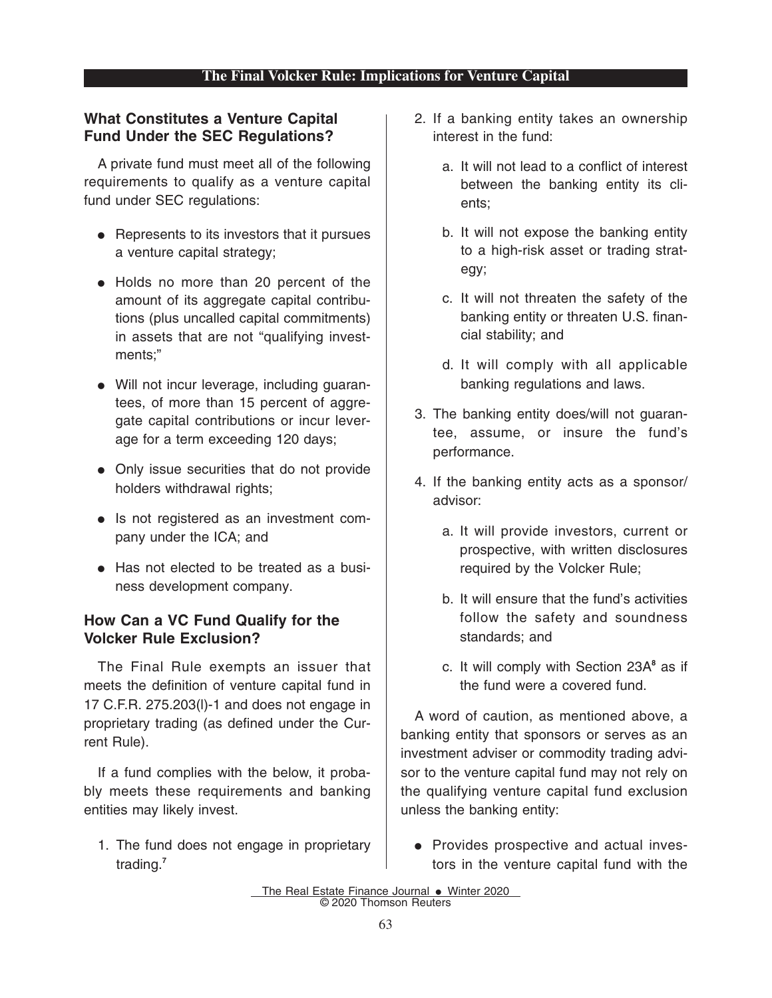### **The Final Volcker Rule: Implications for Venture Capital**

# **What Constitutes a Venture Capital Fund Under the SEC Regulations?**

A private fund must meet all of the following requirements to qualify as a venture capital fund under SEC regulations:

- Represents to its investors that it pursues a venture capital strategy;
- Holds no more than 20 percent of the amount of its aggregate capital contributions (plus uncalled capital commitments) in assets that are not "qualifying investments;"
- Will not incur leverage, including guarantees, of more than 15 percent of aggregate capital contributions or incur leverage for a term exceeding 120 days;
- Only issue securities that do not provide holders withdrawal rights;
- Is not registered as an investment company under the ICA; and
- Has not elected to be treated as a business development company.

# **How Can a VC Fund Qualify for the Volcker Rule Exclusion?**

The Final Rule exempts an issuer that meets the definition of venture capital fund in 17 C.F.R. 275.203(l)-1 and does not engage in proprietary trading (as defined under the Current Rule).

If a fund complies with the below, it probably meets these requirements and banking entities may likely invest.

1. The fund does not engage in proprietary trading.**<sup>7</sup>**

- 2. If a banking entity takes an ownership interest in the fund:
	- a. It will not lead to a conflict of interest between the banking entity its clients;
	- b. It will not expose the banking entity to a high-risk asset or trading strategy;
	- c. It will not threaten the safety of the banking entity or threaten U.S. financial stability; and
	- d. It will comply with all applicable banking regulations and laws.
- 3. The banking entity does/will not guarantee, assume, or insure the fund's performance.
- 4. If the banking entity acts as a sponsor/ advisor:
	- a. It will provide investors, current or prospective, with written disclosures required by the Volcker Rule;
	- b. It will ensure that the fund's activities follow the safety and soundness standards; and
	- c. It will comply with Section 23A**<sup>8</sup>** as if the fund were a covered fund.

A word of caution, as mentioned above, a banking entity that sponsors or serves as an investment adviser or commodity trading advisor to the venture capital fund may not rely on the qualifying venture capital fund exclusion unless the banking entity:

• Provides prospective and actual investors in the venture capital fund with the

The Real Estate Finance Journal . Winter 2020 © 2020 Thomson Reuters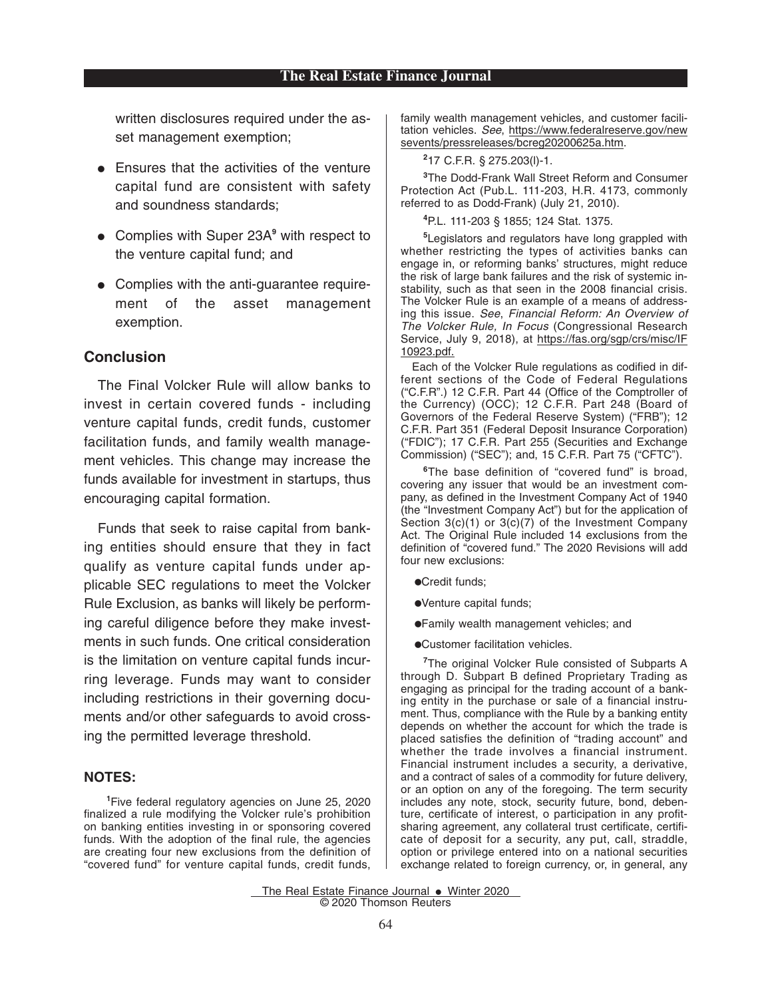written disclosures required under the asset management exemption;

- $\bullet$  Ensures that the activities of the venture capital fund are consistent with safety and soundness standards;
- **Complies with Super 23A<sup>9</sup> with respect to** the venture capital fund; and
- Complies with the anti-quarantee requirement of the asset management exemption.

#### **Conclusion**

The Final Volcker Rule will allow banks to invest in certain covered funds - including venture capital funds, credit funds, customer facilitation funds, and family wealth management vehicles. This change may increase the funds available for investment in startups, thus encouraging capital formation.

Funds that seek to raise capital from banking entities should ensure that they in fact qualify as venture capital funds under applicable SEC regulations to meet the Volcker Rule Exclusion, as banks will likely be performing careful diligence before they make investments in such funds. One critical consideration is the limitation on venture capital funds incurring leverage. Funds may want to consider including restrictions in their governing documents and/or other safeguards to avoid crossing the permitted leverage threshold.

#### **NOTES:**

**1** Five federal regulatory agencies on June 25, 2020 finalized a rule modifying the Volcker rule's prohibition on banking entities investing in or sponsoring covered funds. With the adoption of the final rule, the agencies are creating four new exclusions from the definition of "covered fund" for venture capital funds, credit funds, family wealth management vehicles, and customer facilitation vehicles. See, https://www.federalreserve.gov/new sevents/pressreleases/bcreg20200625a.htm.

#### **2** 17 C.F.R. § 275.203(l)-1.

**3** The Dodd-Frank Wall Street Reform and Consumer Protection Act (Pub.L. 111-203, H.R. 4173, commonly referred to as Dodd-Frank) (July 21, 2010).

**4** P.L. 111-203 § 1855; 124 Stat. 1375.

**5** Legislators and regulators have long grappled with whether restricting the types of activities banks can engage in, or reforming banks' structures, might reduce the risk of large bank failures and the risk of systemic instability, such as that seen in the 2008 financial crisis. The Volcker Rule is an example of a means of addressing this issue. See, Financial Reform: An Overview of The Volcker Rule, In Focus (Congressional Research Service, July 9, 2018), at https://fas.org/sgp/crs/misc/IF 10923.pdf.

Each of the Volcker Rule regulations as codified in different sections of the Code of Federal Regulations ("C.F.R".) 12 C.F.R. Part 44 (Office of the Comptroller of the Currency) (OCC); 12 C.F.R. Part 248 (Board of Governors of the Federal Reserve System) ("FRB"); 12 C.F.R. Part 351 (Federal Deposit Insurance Corporation) ("FDIC"); 17 C.F.R. Part 255 (Securities and Exchange Commission) ("SEC"); and, 15 C.F.R. Part 75 ("CFTC").

**<sup>6</sup>**The base definition of "covered fund" is broad, covering any issuer that would be an investment company, as defined in the Investment Company Act of 1940 (the "Investment Company Act") but for the application of Section 3(c)(1) or 3(c)(7) of the Investment Company Act. The Original Rule included 14 exclusions from the definition of "covered fund." The 2020 Revisions will add four new exclusions:

- **•Credit funds;**
- EVenture capital funds;
- EFamily wealth management vehicles; and
- ECustomer facilitation vehicles.

**7** The original Volcker Rule consisted of Subparts A through D. Subpart B defined Proprietary Trading as engaging as principal for the trading account of a banking entity in the purchase or sale of a financial instrument. Thus, compliance with the Rule by a banking entity depends on whether the account for which the trade is placed satisfies the definition of "trading account" and whether the trade involves a financial instrument. Financial instrument includes a security, a derivative, and a contract of sales of a commodity for future delivery, or an option on any of the foregoing. The term security includes any note, stock, security future, bond, debenture, certificate of interest, o participation in any profitsharing agreement, any collateral trust certificate, certificate of deposit for a security, any put, call, straddle, option or privilege entered into on a national securities exchange related to foreign currency, or, in general, any

The Real Estate Finance Journal  $\bullet$  Winter 2020 © 2020 Thomson Reuters